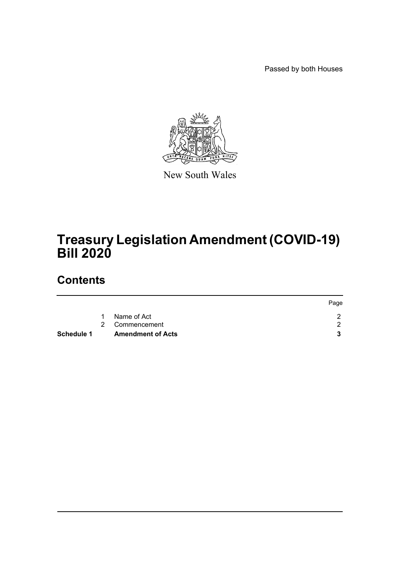Passed by both Houses



New South Wales

# **Treasury Legislation Amendment (COVID-19) Bill 2020**

## **Contents**

| Schedule 1 |    | <b>Amendment of Acts</b> |      |
|------------|----|--------------------------|------|
|            |    | 2 Commencement           |      |
|            | 1. | Name of Act              |      |
|            |    |                          | Page |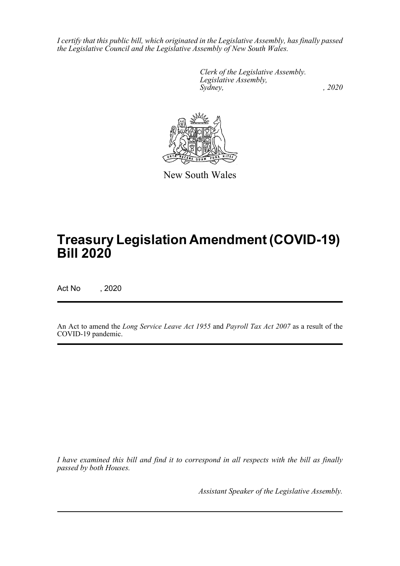*I certify that this public bill, which originated in the Legislative Assembly, has finally passed the Legislative Council and the Legislative Assembly of New South Wales.*

> *Clerk of the Legislative Assembly. Legislative Assembly, Sydney, , 2020*



New South Wales

## **Treasury Legislation Amendment (COVID-19) Bill 2020**

Act No , 2020

An Act to amend the *Long Service Leave Act 1955* and *Payroll Tax Act 2007* as a result of the COVID-19 pandemic.

*I have examined this bill and find it to correspond in all respects with the bill as finally passed by both Houses.*

*Assistant Speaker of the Legislative Assembly.*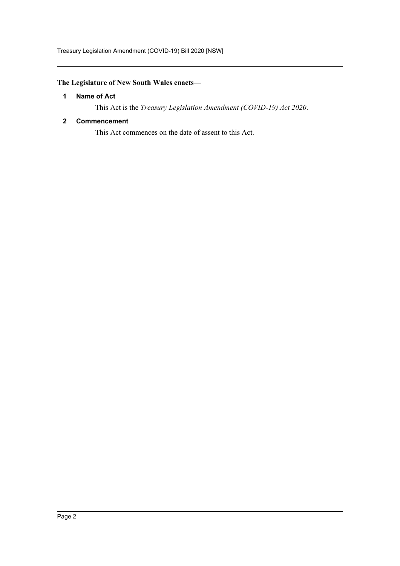Treasury Legislation Amendment (COVID-19) Bill 2020 [NSW]

## <span id="page-2-0"></span>**The Legislature of New South Wales enacts—**

### **1 Name of Act**

This Act is the *Treasury Legislation Amendment (COVID-19) Act 2020*.

### <span id="page-2-1"></span>**2 Commencement**

This Act commences on the date of assent to this Act.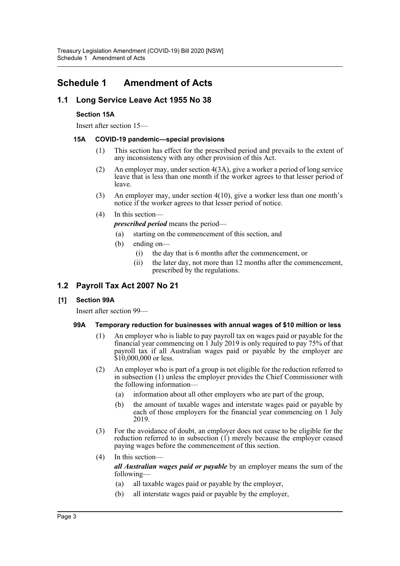## <span id="page-3-0"></span>**Schedule 1 Amendment of Acts**

## **1.1 Long Service Leave Act 1955 No 38**

#### **Section 15A**

Insert after section 15—

#### **15A COVID-19 pandemic—special provisions**

- (1) This section has effect for the prescribed period and prevails to the extent of any inconsistency with any other provision of this Act.
- (2) An employer may, under section 4(3A), give a worker a period of long service leave that is less than one month if the worker agrees to that lesser period of leave.
- (3) An employer may, under section 4(10), give a worker less than one month's notice if the worker agrees to that lesser period of notice.
- (4) In this section—

*prescribed period* means the period—

- (a) starting on the commencement of this section, and
- (b) ending on—
	- (i) the day that is 6 months after the commencement, or
	- (ii) the later day, not more than 12 months after the commencement, prescribed by the regulations.

### **1.2 Payroll Tax Act 2007 No 21**

#### **[1] Section 99A**

Insert after section 99—

#### **99A Temporary reduction for businesses with annual wages of \$10 million or less**

- (1) An employer who is liable to pay payroll tax on wages paid or payable for the financial year commencing on 1 July 2019 is only required to pay 75% of that payroll tax if all Australian wages paid or payable by the employer are \$10,000,000 or less.
- (2) An employer who is part of a group is not eligible for the reduction referred to in subsection (1) unless the employer provides the Chief Commissioner with the following information—
	- (a) information about all other employers who are part of the group,
	- (b) the amount of taxable wages and interstate wages paid or payable by each of those employers for the financial year commencing on 1 July 2019.
- (3) For the avoidance of doubt, an employer does not cease to be eligible for the reduction referred to in subsection  $(1)$  merely because the employer ceased paying wages before the commencement of this section.
- (4) In this section *all Australian wages paid or payable* by an employer means the sum of the following—
	- (a) all taxable wages paid or payable by the employer,
	- (b) all interstate wages paid or payable by the employer,